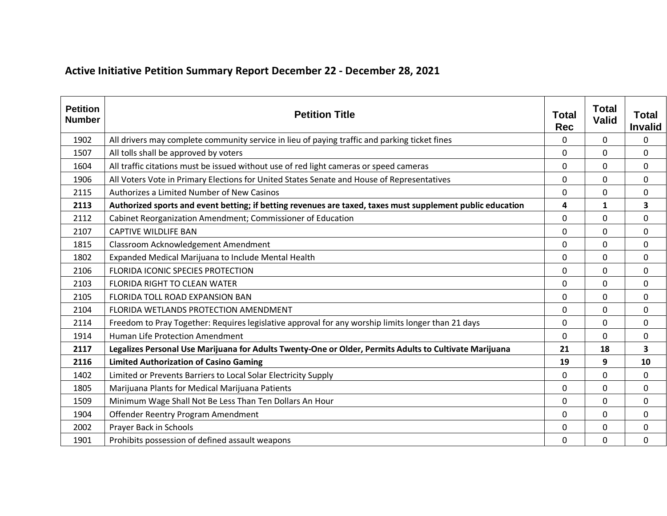## **Active Initiative Petition Summary Report December 22 - December 28, 2021**

| <b>Petition</b><br><b>Number</b> | <b>Petition Title</b>                                                                                      | <b>Total</b><br><b>Rec</b> | <b>Total</b><br><b>Valid</b> | <b>Total</b><br><b>Invalid</b> |
|----------------------------------|------------------------------------------------------------------------------------------------------------|----------------------------|------------------------------|--------------------------------|
| 1902                             | All drivers may complete community service in lieu of paying traffic and parking ticket fines              | 0                          | 0                            | 0                              |
| 1507                             | All tolls shall be approved by voters                                                                      | 0                          | 0                            | 0                              |
| 1604                             | All traffic citations must be issued without use of red light cameras or speed cameras                     | 0                          | 0                            | 0                              |
| 1906                             | All Voters Vote in Primary Elections for United States Senate and House of Representatives                 | 0                          | 0                            | $\mathbf 0$                    |
| 2115                             | Authorizes a Limited Number of New Casinos                                                                 | 0                          | 0                            | 0                              |
| 2113                             | Authorized sports and event betting; if betting revenues are taxed, taxes must supplement public education | 4                          | 1                            | 3                              |
| 2112                             | Cabinet Reorganization Amendment; Commissioner of Education                                                | 0                          | 0                            | 0                              |
| 2107                             | <b>CAPTIVE WILDLIFE BAN</b>                                                                                | 0                          | 0                            | $\mathbf 0$                    |
| 1815                             | Classroom Acknowledgement Amendment                                                                        | 0                          | 0                            | $\mathbf 0$                    |
| 1802                             | Expanded Medical Marijuana to Include Mental Health                                                        | 0                          | 0                            | 0                              |
| 2106                             | FLORIDA ICONIC SPECIES PROTECTION                                                                          | 0                          | 0                            | 0                              |
| 2103                             | <b>FLORIDA RIGHT TO CLEAN WATER</b>                                                                        | 0                          | 0                            | 0                              |
| 2105                             | FLORIDA TOLL ROAD EXPANSION BAN                                                                            | 0                          | 0                            | $\mathbf 0$                    |
| 2104                             | FLORIDA WETLANDS PROTECTION AMENDMENT                                                                      | 0                          | $\Omega$                     | 0                              |
| 2114                             | Freedom to Pray Together: Requires legislative approval for any worship limits longer than 21 days         | 0                          | 0                            | 0                              |
| 1914                             | <b>Human Life Protection Amendment</b>                                                                     | 0                          | 0                            | 0                              |
| 2117                             | Legalizes Personal Use Marijuana for Adults Twenty-One or Older, Permits Adults to Cultivate Marijuana     | 21                         | 18                           | 3                              |
| 2116                             | <b>Limited Authorization of Casino Gaming</b>                                                              | 19                         | 9                            | 10                             |
| 1402                             | Limited or Prevents Barriers to Local Solar Electricity Supply                                             | 0                          | $\Omega$                     | 0                              |
| 1805                             | Marijuana Plants for Medical Marijuana Patients                                                            | 0                          | 0                            | 0                              |
| 1509                             | Minimum Wage Shall Not Be Less Than Ten Dollars An Hour                                                    | 0                          | 0                            | 0                              |
| 1904                             | Offender Reentry Program Amendment                                                                         | 0                          | 0                            | 0                              |
| 2002                             | Prayer Back in Schools                                                                                     | 0                          | 0                            | 0                              |
| 1901                             | Prohibits possession of defined assault weapons                                                            | 0                          | 0                            | $\mathbf 0$                    |